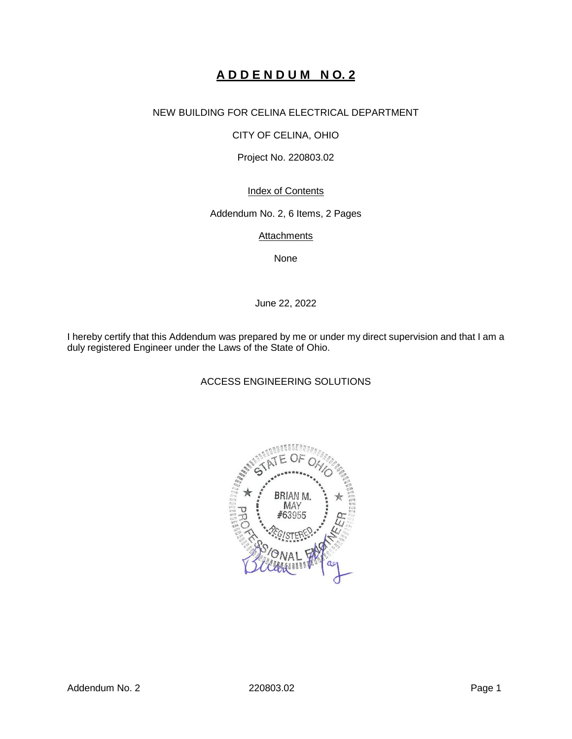# **A D D E N D U M N O. 2**

# NEW BUILDING FOR CELINA ELECTRICAL DEPARTMENT

CITY OF CELINA, OHIO

Project No. 220803.02

Index of Contents

Addendum No. 2, 6 Items, 2 Pages

**Attachments** 

None

June 22, 2022

I hereby certify that this Addendum was prepared by me or under my direct supervision and that I am a duly registered Engineer under the Laws of the State of Ohio.

ACCESS ENGINEERING SOLUTIONS